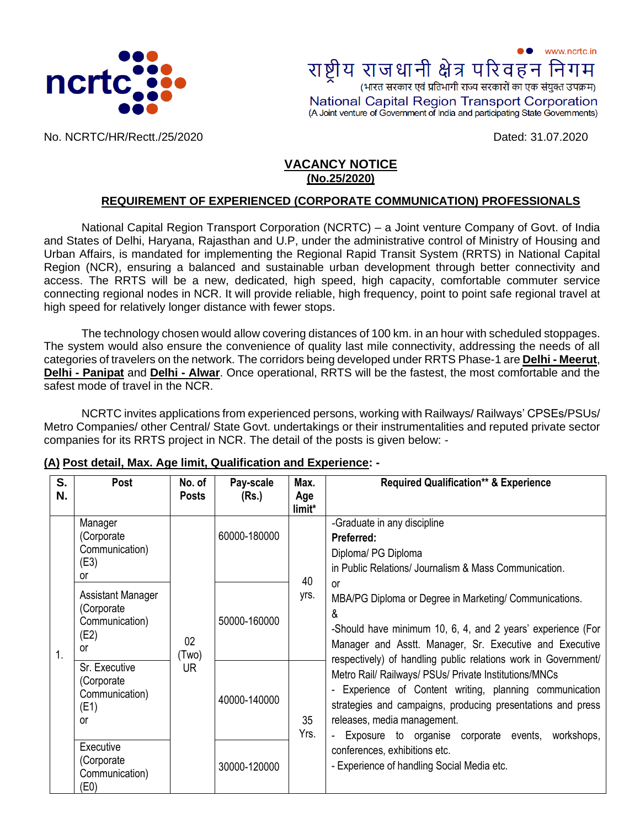

www.ncrtc.in राष्ट्रीय राजधानी क्षेत्र परिवहन निग (भारत सरकार एवं प्रतिभागी राज्य सरकारों का एक संयुक्त उपक्रम) National Capital Region Transport Corporation (A Joint venture of Government of India and participating State Governments)

No. NCRTC/HR/Rectt./25/2020 Dated: 31.07.2020

## **VACANCY NOTICE (No.25/2020)**

#### **REQUIREMENT OF EXPERIENCED (CORPORATE COMMUNICATION) PROFESSIONALS**

National Capital Region Transport Corporation (NCRTC) – a Joint venture Company of Govt. of India and States of Delhi, Haryana, Rajasthan and U.P, under the administrative control of Ministry of Housing and Urban Affairs, is mandated for implementing the Regional Rapid Transit System (RRTS) in National Capital Region (NCR), ensuring a balanced and sustainable urban development through better connectivity and access. The RRTS will be a new, dedicated, high speed, high capacity, comfortable commuter service connecting regional nodes in NCR. It will provide reliable, high frequency, point to point safe regional travel at high speed for relatively longer distance with fewer stops.

The technology chosen would allow covering distances of 100 km. in an hour with scheduled stoppages. The system would also ensure the convenience of quality last mile connectivity, addressing the needs of all categories of travelers on the network. The corridors being developed under RRTS Phase-1 are **Delhi - Meerut**, **Delhi - [Panipat](http://ncrtc.in/delhi-panipat-corridor/)** and **[Delhi -](http://ncrtc.in/delhi-alwar-corridor/) Alwar**. Once operational, RRTS will be the fastest, the most comfortable and the safest mode of travel in the NCR.

NCRTC invites applications from experienced persons, working with Railways/ Railways' CPSEs/PSUs/ Metro Companies/ other Central/ State Govt. undertakings or their instrumentalities and reputed private sector companies for its RRTS project in NCR. The detail of the posts is given below: -

| S.<br>N. | Post                                                            | No. of<br><b>Posts</b>   | Pay-scale<br>(Rs.) | Max.<br>Age<br>limit* | <b>Required Qualification** &amp; Experience</b>                                                                                                                                                                                                                       |
|----------|-----------------------------------------------------------------|--------------------------|--------------------|-----------------------|------------------------------------------------------------------------------------------------------------------------------------------------------------------------------------------------------------------------------------------------------------------------|
|          | Manager<br>(Corporate<br>Communication)<br>(E3)<br>0r           |                          | 60000-180000       | 40                    | -Graduate in any discipline<br>Preferred:<br>Diploma/ PG Diploma<br>in Public Relations/ Journalism & Mass Communication.                                                                                                                                              |
| 1.       | Assistant Manager<br>(Corporate<br>Communication)<br>(E2)<br>or | 02<br>(Two)<br><b>UR</b> | 50000-160000       | yrs.                  | <b>or</b><br>MBA/PG Diploma or Degree in Marketing/ Communications.<br>&<br>-Should have minimum 10, 6, 4, and 2 years' experience (For<br>Manager and Asstt. Manager, Sr. Executive and Executive<br>respectively) of handling public relations work in Government/   |
|          | Sr. Executive<br>(Corporate<br>Communication)<br>(E1)<br>0r     |                          | 40000-140000       | 35<br>Yrs.            | Metro Rail/ Railways/ PSUs/ Private Institutions/MNCs<br>Experience of Content writing, planning communication<br>strategies and campaigns, producing presentations and press<br>releases, media management.<br>- Exposure to organise corporate events,<br>workshops, |
|          | Executive<br>(Corporate)<br>Communication)<br>(E0)              |                          | 30000-120000       |                       | conferences, exhibitions etc.<br>- Experience of handling Social Media etc.                                                                                                                                                                                            |

#### **(A) Post detail, Max. Age limit, Qualification and Experience: -**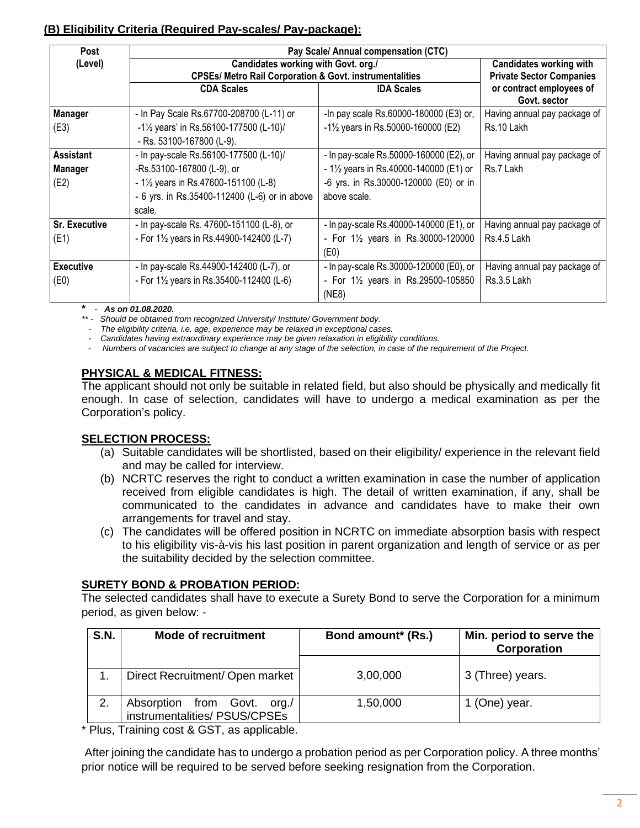## **(B) Eligibility Criteria (Required Pay-scales/ Pay-package):**

| Post                                         |                                                                    | Pay Scale/ Annual compensation (CTC)              |                                          |  |  |  |  |  |  |
|----------------------------------------------|--------------------------------------------------------------------|---------------------------------------------------|------------------------------------------|--|--|--|--|--|--|
| (Level)                                      | Candidates working with Govt. org./                                | <b>Candidates working with</b>                    |                                          |  |  |  |  |  |  |
|                                              | <b>CPSEs/ Metro Rail Corporation &amp; Govt. instrumentalities</b> |                                                   | <b>Private Sector Companies</b>          |  |  |  |  |  |  |
|                                              | <b>CDA Scales</b>                                                  | <b>IDA Scales</b>                                 | or contract employees of<br>Govt. sector |  |  |  |  |  |  |
| <b>Manager</b>                               | - In Pay Scale Rs.67700-208700 (L-11) or                           | -In pay scale Rs.60000-180000 (E3) or,            | Having annual pay package of             |  |  |  |  |  |  |
| (E3)                                         | -11/2 years' in Rs.56100-177500 (L-10)/                            | $-1\frac{1}{2}$ years in Rs.50000-160000 (E2)     | Rs.10 Lakh                               |  |  |  |  |  |  |
|                                              | - Rs. 53100-167800 (L-9).                                          |                                                   |                                          |  |  |  |  |  |  |
| <b>Assistant</b>                             | - In pay-scale Rs.56100-177500 (L-10)/                             | - In pay-scale Rs.50000-160000 (E2), or           | Having annual pay package of             |  |  |  |  |  |  |
| -Rs.53100-167800 (L-9), or<br><b>Manager</b> |                                                                    | - $1\frac{1}{2}$ years in Rs.40000-140000 (E1) or | Rs.7 Lakh                                |  |  |  |  |  |  |
| (E2)                                         | $-1\frac{1}{2}$ years in Rs.47600-151100 (L-8)                     | -6 yrs. in Rs.30000-120000 (E0) or in             |                                          |  |  |  |  |  |  |
|                                              | - 6 yrs. in Rs.35400-112400 (L-6) or in above                      | above scale.                                      |                                          |  |  |  |  |  |  |
|                                              | scale.                                                             |                                                   |                                          |  |  |  |  |  |  |
| <b>Sr. Executive</b>                         | - In pay-scale Rs. 47600-151100 (L-8), or                          | - In pay-scale Rs.40000-140000 (E1), or           | Having annual pay package of             |  |  |  |  |  |  |
| (E1)                                         | - For $1\frac{1}{2}$ years in Rs.44900-142400 (L-7)                | - For 1 <sup>1/2</sup> years in Rs.30000-120000   | Rs.4.5 Lakh                              |  |  |  |  |  |  |
|                                              |                                                                    | (E0)                                              |                                          |  |  |  |  |  |  |
| <b>Executive</b>                             | - In pay-scale Rs.44900-142400 (L-7), or                           | - In pay-scale Rs.30000-120000 (E0), or           | Having annual pay package of             |  |  |  |  |  |  |
| (E0)                                         | - For $1\frac{1}{2}$ years in Rs.35400-112400 (L-6)                | - For 11/ <sub>2</sub> years in Rs.29500-105850   | Rs.3.5 Lakh                              |  |  |  |  |  |  |
|                                              |                                                                    | (NE8)                                             |                                          |  |  |  |  |  |  |

**\*** - *As on 01.08.2020.*

*\*\* - Should be obtained from recognized University/ Institute/ Government body.*

 *- The eligibility criteria, i.e. age, experience may be relaxed in exceptional cases.*

 *- Candidates having extraordinary experience may be given relaxation in eligibility conditions.*

 *- Numbers of vacancies are subject to change at any stage of the selection, in case of the requirement of the Project.*

#### **PHYSICAL & MEDICAL FITNESS:**

The applicant should not only be suitable in related field, but also should be physically and medically fit enough. In case of selection, candidates will have to undergo a medical examination as per the Corporation's policy.

#### **SELECTION PROCESS:**

- (a) Suitable candidates will be shortlisted, based on their eligibility/ experience in the relevant field and may be called for interview.
- (b) NCRTC reserves the right to conduct a written examination in case the number of application received from eligible candidates is high. The detail of written examination, if any, shall be communicated to the candidates in advance and candidates have to make their own arrangements for travel and stay.
- (c) The candidates will be offered position in NCRTC on immediate absorption basis with respect to his eligibility vis-à-vis his last position in parent organization and length of service or as per the suitability decided by the selection committee.

#### **SURETY BOND & PROBATION PERIOD:**

The selected candidates shall have to execute a Surety Bond to serve the Corporation for a minimum period, as given below: -

| <b>S.N.</b> | <b>Mode of recruitment</b>                                      | Bond amount* (Rs.) | Min. period to serve the<br>Corporation |
|-------------|-----------------------------------------------------------------|--------------------|-----------------------------------------|
|             | Direct Recruitment/ Open market                                 | 3,00,000           | 3 (Three) years.                        |
| 2.          | Absorption from Govt.<br>org./<br>instrumentalities/ PSUS/CPSEs | 1,50,000           | 1 (One) year.                           |

\* Plus, Training cost & GST, as applicable.

After joining the candidate has to undergo a probation period as per Corporation policy. A three months' prior notice will be required to be served before seeking resignation from the Corporation.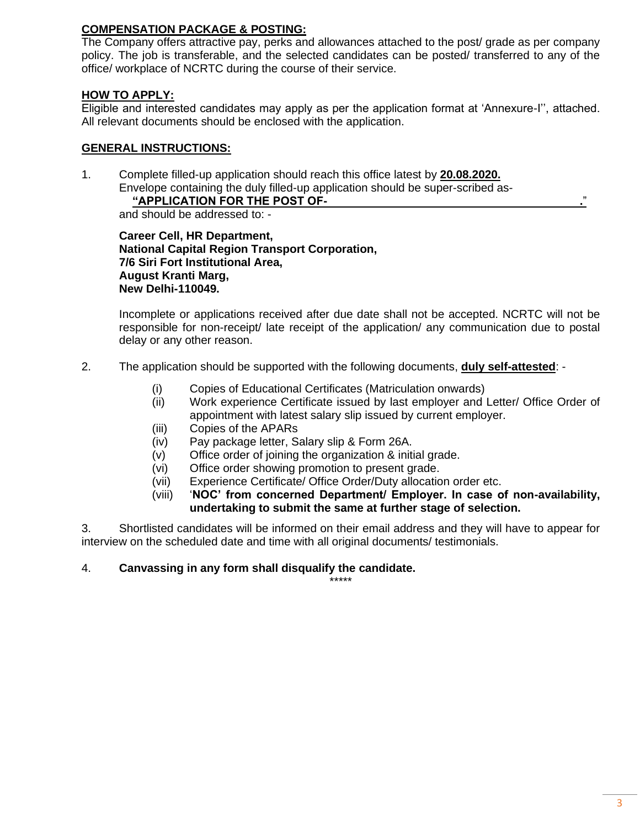### **COMPENSATION PACKAGE & POSTING:**

The Company offers attractive pay, perks and allowances attached to the post/ grade as per company policy. The job is transferable, and the selected candidates can be posted/ transferred to any of the office/ workplace of NCRTC during the course of their service.

#### **HOW TO APPLY:**

Eligible and interested candidates may apply as per the application format at 'Annexure-I'', attached. All relevant documents should be enclosed with the application.

#### **GENERAL INSTRUCTIONS:**

1. Complete filled-up application should reach this office latest by **20.08.2020.** Envelope containing the duly filled-up application should be super-scribed as-

#### **"APPLICATION FOR THE POST OF- .**"

and should be addressed to: -

**Career Cell, HR Department, National Capital Region Transport Corporation, 7/6 Siri Fort Institutional Area, August Kranti Marg, New Delhi-110049.**

Incomplete or applications received after due date shall not be accepted. NCRTC will not be responsible for non-receipt/ late receipt of the application/ any communication due to postal delay or any other reason.

- 2. The application should be supported with the following documents, **duly self-attested**:
	- (i) Copies of Educational Certificates (Matriculation onwards)
	- (ii) Work experience Certificate issued by last employer and Letter/ Office Order of appointment with latest salary slip issued by current employer.
	- (iii) Copies of the APARs
	- (iv) Pay package letter, Salary slip & Form 26A.
	- (v) Office order of joining the organization & initial grade.
	- (vi) Office order showing promotion to present grade.
	- (vii) Experience Certificate/ Office Order/Duty allocation order etc.
	- (viii) '**NOC' from concerned Department/ Employer. In case of non-availability, undertaking to submit the same at further stage of selection.**

3. Shortlisted candidates will be informed on their email address and they will have to appear for interview on the scheduled date and time with all original documents/ testimonials.

#### 4. **Canvassing in any form shall disqualify the candidate.**

\*\*\*\*\*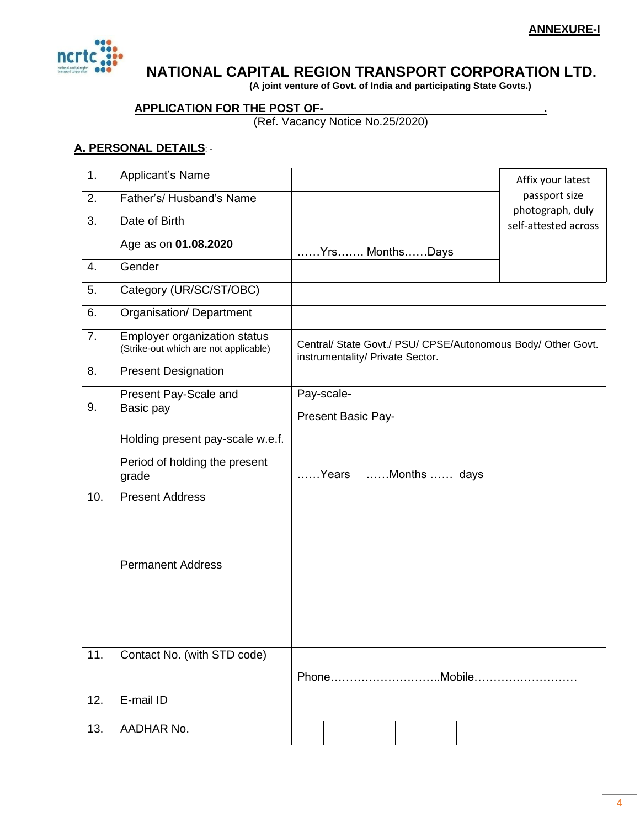

## **NATIONAL CAPITAL REGION TRANSPORT CORPORATION LTD.**

 **(A joint venture of Govt. of India and participating State Govts.)**

## **APPLICATION FOR THE POST OF- .**

(Ref. Vacancy Notice No.25/2020)

## **A. PERSONAL DETAILS**: -

| 1.  | Applicant's Name                                                             |                                                                                                  |              |  |  |  | Affix your latest                 |  |
|-----|------------------------------------------------------------------------------|--------------------------------------------------------------------------------------------------|--------------|--|--|--|-----------------------------------|--|
| 2.  | Father's/ Husband's Name                                                     |                                                                                                  |              |  |  |  | passport size<br>photograph, duly |  |
| 3.  | Date of Birth                                                                |                                                                                                  |              |  |  |  | self-attested across              |  |
|     | Age as on 01.08.2020                                                         | Yrs MonthsDays                                                                                   |              |  |  |  |                                   |  |
| 4.  | Gender                                                                       |                                                                                                  |              |  |  |  |                                   |  |
| 5.  | Category (UR/SC/ST/OBC)                                                      |                                                                                                  |              |  |  |  |                                   |  |
| 6.  | Organisation/Department                                                      |                                                                                                  |              |  |  |  |                                   |  |
| 7.  | <b>Employer organization status</b><br>(Strike-out which are not applicable) | Central/ State Govt./ PSU/ CPSE/Autonomous Body/ Other Govt.<br>instrumentality/ Private Sector. |              |  |  |  |                                   |  |
| 8.  | <b>Present Designation</b>                                                   |                                                                                                  |              |  |  |  |                                   |  |
|     | Present Pay-Scale and                                                        | Pay-scale-                                                                                       |              |  |  |  |                                   |  |
| 9.  | Basic pay                                                                    | Present Basic Pay-                                                                               |              |  |  |  |                                   |  |
|     | Holding present pay-scale w.e.f.                                             |                                                                                                  |              |  |  |  |                                   |  |
|     | Period of holding the present<br>grade                                       | Years                                                                                            | Months  days |  |  |  |                                   |  |
| 10. | <b>Present Address</b>                                                       |                                                                                                  |              |  |  |  |                                   |  |
|     |                                                                              |                                                                                                  |              |  |  |  |                                   |  |
|     |                                                                              |                                                                                                  |              |  |  |  |                                   |  |
|     | <b>Permanent Address</b>                                                     |                                                                                                  |              |  |  |  |                                   |  |
|     |                                                                              |                                                                                                  |              |  |  |  |                                   |  |
|     |                                                                              |                                                                                                  |              |  |  |  |                                   |  |
|     |                                                                              |                                                                                                  |              |  |  |  |                                   |  |
| 11. | Contact No. (with STD code)                                                  |                                                                                                  |              |  |  |  |                                   |  |
|     |                                                                              |                                                                                                  |              |  |  |  |                                   |  |
| 12. | E-mail ID                                                                    |                                                                                                  |              |  |  |  |                                   |  |
| 13. | AADHAR No.                                                                   |                                                                                                  |              |  |  |  |                                   |  |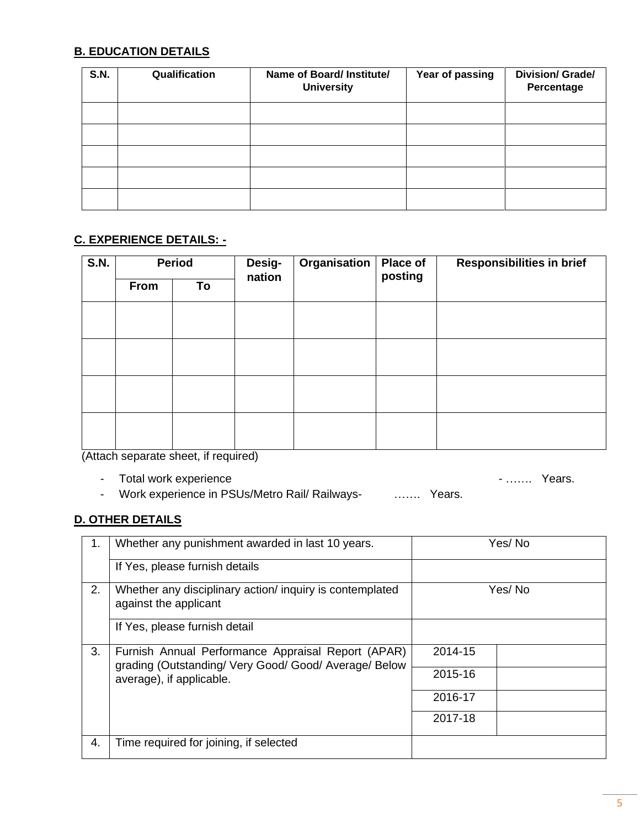## **B. EDUCATION DETAILS**

| <b>S.N.</b> | Qualification | Name of Board/ Institute/<br><b>University</b> | Year of passing | <b>Division/ Grade/</b><br>Percentage |
|-------------|---------------|------------------------------------------------|-----------------|---------------------------------------|
|             |               |                                                |                 |                                       |
|             |               |                                                |                 |                                       |
|             |               |                                                |                 |                                       |
|             |               |                                                |                 |                                       |
|             |               |                                                |                 |                                       |

## **C. EXPERIENCE DETAILS: -**

| <b>S.N.</b>    | <b>Period</b> |                                                                                                                 | Desig-<br>nation | Organisation | <b>Place of</b><br>posting | <b>Responsibilities in brief</b> |  |
|----------------|---------------|-----------------------------------------------------------------------------------------------------------------|------------------|--------------|----------------------------|----------------------------------|--|
|                | From          | To                                                                                                              |                  |              |                            |                                  |  |
|                |               |                                                                                                                 |                  |              |                            |                                  |  |
|                |               |                                                                                                                 |                  |              |                            |                                  |  |
|                |               |                                                                                                                 |                  |              |                            |                                  |  |
|                |               |                                                                                                                 |                  |              |                            |                                  |  |
|                |               |                                                                                                                 |                  |              |                            |                                  |  |
|                |               |                                                                                                                 |                  |              |                            |                                  |  |
|                |               |                                                                                                                 |                  |              |                            |                                  |  |
| $\overline{1}$ |               | the contract of the contract of the contract of the contract of the contract of the contract of the contract of | $\sim$ $\sim$    |              |                            |                                  |  |

(Attach separate sheet, if required)

- Total work experience  $\blacksquare$ 

- Work experience in PSUs/Metro Rail/ Railways- ……. Years.

## **D. OTHER DETAILS**

| 1. | Whether any punishment awarded in last 10 years.                                                                                        | Yes/No  |
|----|-----------------------------------------------------------------------------------------------------------------------------------------|---------|
|    | If Yes, please furnish details                                                                                                          |         |
| 2. | Whether any disciplinary action/ inquiry is contemplated<br>against the applicant                                                       | Yes/No  |
|    | If Yes, please furnish detail                                                                                                           |         |
| 3. | Furnish Annual Performance Appraisal Report (APAR)<br>grading (Outstanding/ Very Good/ Good/ Average/ Below<br>average), if applicable. | 2014-15 |
|    |                                                                                                                                         | 2015-16 |
|    |                                                                                                                                         | 2016-17 |
|    |                                                                                                                                         | 2017-18 |
| 4. | Time required for joining, if selected                                                                                                  |         |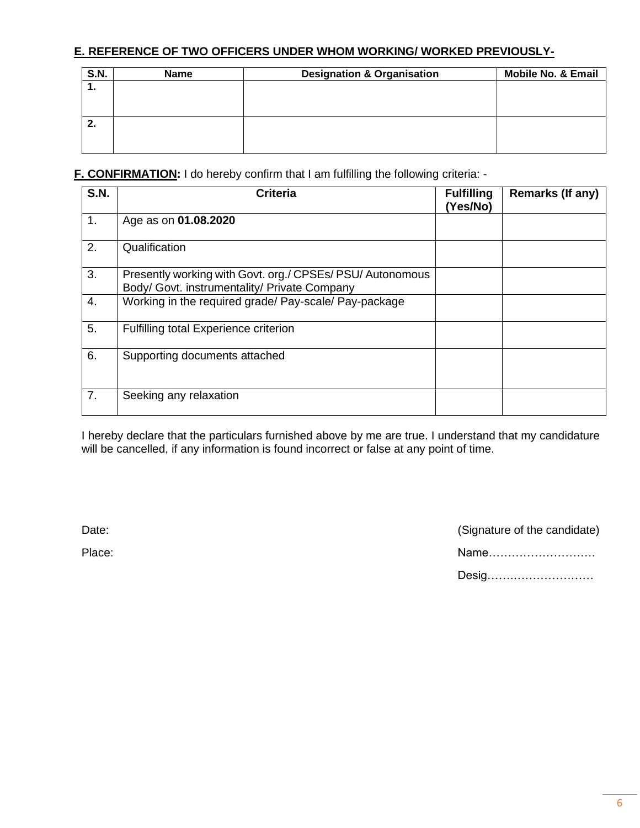## **E. REFERENCE OF TWO OFFICERS UNDER WHOM WORKING/ WORKED PREVIOUSLY-**

| S.N. | <b>Name</b> | <b>Designation &amp; Organisation</b> | <b>Mobile No. &amp; Email</b> |
|------|-------------|---------------------------------------|-------------------------------|
| . .  |             |                                       |                               |
|      |             |                                       |                               |
|      |             |                                       |                               |
| 2.   |             |                                       |                               |
|      |             |                                       |                               |
|      |             |                                       |                               |

**F. CONFIRMATION:** I do hereby confirm that I am fulfilling the following criteria: -

| <b>S.N.</b> | <b>Criteria</b>                                                                                           | <b>Fulfilling</b><br>(Yes/No) | <b>Remarks (If any)</b> |
|-------------|-----------------------------------------------------------------------------------------------------------|-------------------------------|-------------------------|
| 1.          | Age as on 01.08.2020                                                                                      |                               |                         |
| 2.          | Qualification                                                                                             |                               |                         |
| 3.          | Presently working with Govt. org./ CPSEs/ PSU/ Autonomous<br>Body/ Govt. instrumentality/ Private Company |                               |                         |
| 4.          | Working in the required grade/ Pay-scale/ Pay-package                                                     |                               |                         |
| 5.          | <b>Fulfilling total Experience criterion</b>                                                              |                               |                         |
| 6.          | Supporting documents attached                                                                             |                               |                         |
| 7.          | Seeking any relaxation                                                                                    |                               |                         |

I hereby declare that the particulars furnished above by me are true. I understand that my candidature will be cancelled, if any information is found incorrect or false at any point of time.

Date: Contract Contract Contract Contract Contract Contract Contract Contract Contract Contract Contract Contract Contract Contract Contract Contract Contract Contract Contract Contract Contract Contract Contract Contract

| Place: | Name  |
|--------|-------|
|        | Desig |